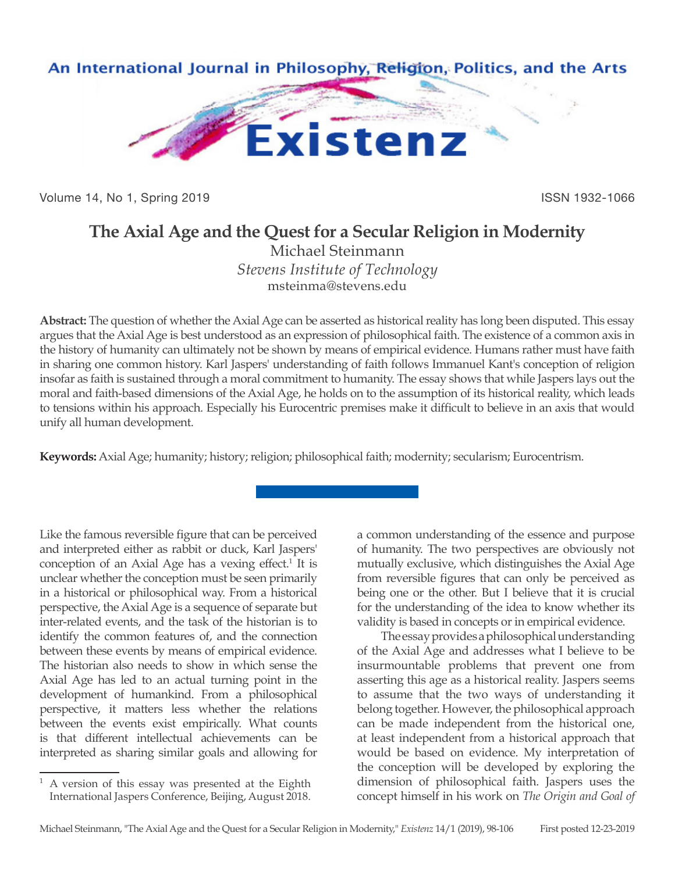

Volume 14, No 1, Spring 2019 **ISSN 1932-1066** ISSN 1932-1066

# **The Axial Age and the Quest for a Secular Religion in Modernity**

Michael Steinmann *Stevens Institute of Technology* msteinma@stevens.edu

**Abstract:** The question of whether the Axial Age can be asserted as historical reality has long been disputed. This essay argues that the Axial Age is best understood as an expression of philosophical faith. The existence of a common axis in the history of humanity can ultimately not be shown by means of empirical evidence. Humans rather must have faith in sharing one common history. Karl Jaspers' understanding of faith follows Immanuel Kant's conception of religion insofar as faith is sustained through a moral commitment to humanity. The essay shows that while Jaspers lays out the moral and faith-based dimensions of the Axial Age, he holds on to the assumption of its historical reality, which leads to tensions within his approach. Especially his Eurocentric premises make it difficult to believe in an axis that would unify all human development.

**Keywords:** Axial Age; humanity; history; religion; philosophical faith; modernity; secularism; Eurocentrism.

Like the famous reversible figure that can be perceived and interpreted either as rabbit or duck, Karl Jaspers' conception of an Axial Age has a vexing effect.<sup>1</sup> It is unclear whether the conception must be seen primarily in a historical or philosophical way. From a historical perspective, the Axial Age is a sequence of separate but inter-related events, and the task of the historian is to identify the common features of, and the connection between these events by means of empirical evidence. The historian also needs to show in which sense the Axial Age has led to an actual turning point in the development of humankind. From a philosophical perspective, it matters less whether the relations between the events exist empirically. What counts is that different intellectual achievements can be interpreted as sharing similar goals and allowing for

a common understanding of the essence and purpose of humanity. The two perspectives are obviously not mutually exclusive, which distinguishes the Axial Age from reversible figures that can only be perceived as being one or the other. But I believe that it is crucial for the understanding of the idea to know whether its validity is based in concepts or in empirical evidence.

The essay provides a philosophical understanding of the Axial Age and addresses what I believe to be insurmountable problems that prevent one from asserting this age as a historical reality. Jaspers seems to assume that the two ways of understanding it belong together. However, the philosophical approach can be made independent from the historical one, at least independent from a historical approach that would be based on evidence. My interpretation of the conception will be developed by exploring the dimension of philosophical faith. Jaspers uses the concept himself in his work on *The Origin and Goal of* 

<sup>1</sup> A version of this essay was presented at the Eighth International Jaspers Conference, Beijing, August 2018.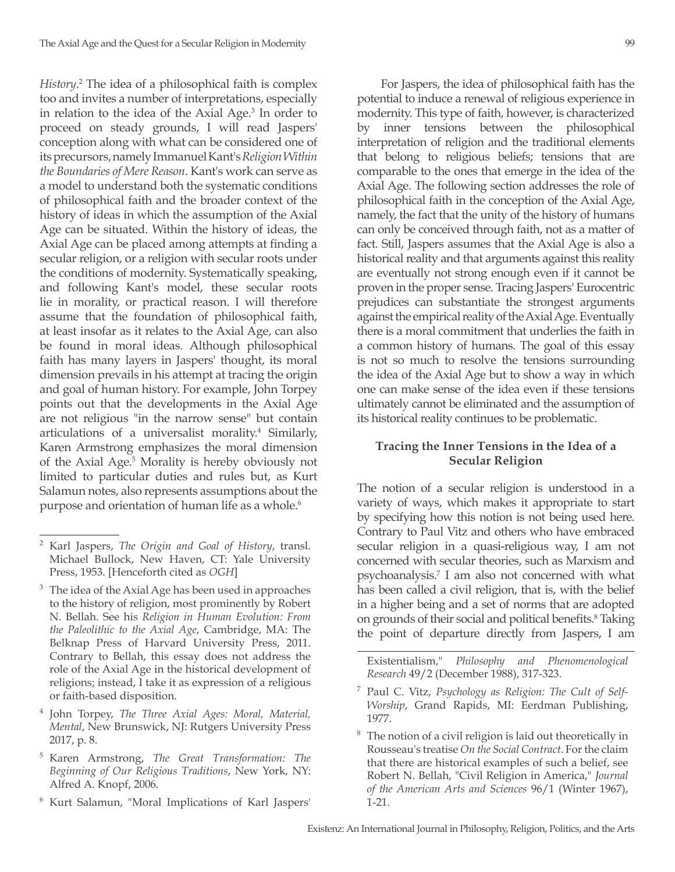*History*. 2 The idea of a philosophical faith is complex too and invites a number of interpretations, especially in relation to the idea of the Axial Age.3 In order to proceed on steady grounds, I will read Jaspers' conception along with what can be considered one of its precursors, namely Immanuel Kant's *Religion Within the Boundaries of Mere Reason*. Kant's work can serve as a model to understand both the systematic conditions of philosophical faith and the broader context of the history of ideas in which the assumption of the Axial Age can be situated. Within the history of ideas, the Axial Age can be placed among attempts at finding a secular religion, or a religion with secular roots under the conditions of modernity. Systematically speaking, and following Kant's model, these secular roots lie in morality, or practical reason. I will therefore assume that the foundation of philosophical faith, at least insofar as it relates to the Axial Age, can also be found in moral ideas. Although philosophical faith has many layers in Jaspers' thought, its moral dimension prevails in his attempt at tracing the origin and goal of human history. For example, John Torpey points out that the developments in the Axial Age are not religious "in the narrow sense" but contain articulations of a universalist morality.<sup>4</sup> Similarly, Karen Armstrong emphasizes the moral dimension of the Axial Age.5 Morality is hereby obviously not limited to particular duties and rules but, as Kurt Salamun notes, also represents assumptions about the purpose and orientation of human life as a whole.<sup>6</sup>

- <sup>4</sup> John Torpey, *The Three Axial Ages: Moral, Material, Mental*, New Brunswick, NJ: Rutgers University Press 2017, p. 8.
- <sup>5</sup> Karen Armstrong, *The Great Transformation: The Beginning of Our Religious Traditions*, New York, NY: Alfred A. Knopf, 2006.
- <sup>6</sup> Kurt Salamun, "Moral Implications of Karl Jaspers'

For Jaspers, the idea of philosophical faith has the potential to induce a renewal of religious experience in modernity. This type of faith, however, is characterized by inner tensions between the philosophical interpretation of religion and the traditional elements that belong to religious beliefs; tensions that are comparable to the ones that emerge in the idea of the Axial Age. The following section addresses the role of philosophical faith in the conception of the Axial Age, namely, the fact that the unity of the history of humans can only be conceived through faith, not as a matter of fact. Still, Jaspers assumes that the Axial Age is also a historical reality and that arguments against this reality are eventually not strong enough even if it cannot be proven in the proper sense. Tracing Jaspers' Eurocentric prejudices can substantiate the strongest arguments against the empirical reality of the Axial Age. Eventually there is a moral commitment that underlies the faith in a common history of humans. The goal of this essay is not so much to resolve the tensions surrounding the idea of the Axial Age but to show a way in which one can make sense of the idea even if these tensions ultimately cannot be eliminated and the assumption of its historical reality continues to be problematic.

### **Tracing the Inner Tensions in the Idea of a Secular Religion**

The notion of a secular religion is understood in a variety of ways, which makes it appropriate to start by specifying how this notion is not being used here. Contrary to Paul Vitz and others who have embraced secular religion in a quasi-religious way, I am not concerned with secular theories, such as Marxism and psychoanalysis.7 I am also not concerned with what has been called a civil religion, that is, with the belief in a higher being and a set of norms that are adopted on grounds of their social and political benefits.<sup>8</sup> Taking the point of departure directly from Jaspers, I am

Existentialism," *Philosophy and Phenomenological Research* 49/2 (December 1988), 317-323.

- <sup>7</sup> Paul C. Vitz, *Psychology as Religion: The Cult of Self-Worship*, Grand Rapids, MI: Eerdman Publishing, 1977.
- $8<sup>8</sup>$  The notion of a civil religion is laid out theoretically in Rousseau's treatise *On the Social Contract*. For the claim that there are historical examples of such a belief, see Robert N. Bellah, "Civil Religion in America," *Journal of the American Arts and Sciences* 96/1 (Winter 1967), 1-21.

<sup>2</sup> Karl Jaspers, *The Origin and Goal of History*, transl. Michael Bullock, New Haven, CT: Yale University Press, 1953. [Henceforth cited as *OGH*]

<sup>&</sup>lt;sup>3</sup> The idea of the Axial Age has been used in approaches to the history of religion, most prominently by Robert N. Bellah. See his *Religion in Human Evolution: From the Paleolithic to the Axial Age*, Cambridge, MA: The Belknap Press of Harvard University Press, 2011. Contrary to Bellah, this essay does not address the role of the Axial Age in the historical development of religions; instead, I take it as expression of a religious or faith-based disposition.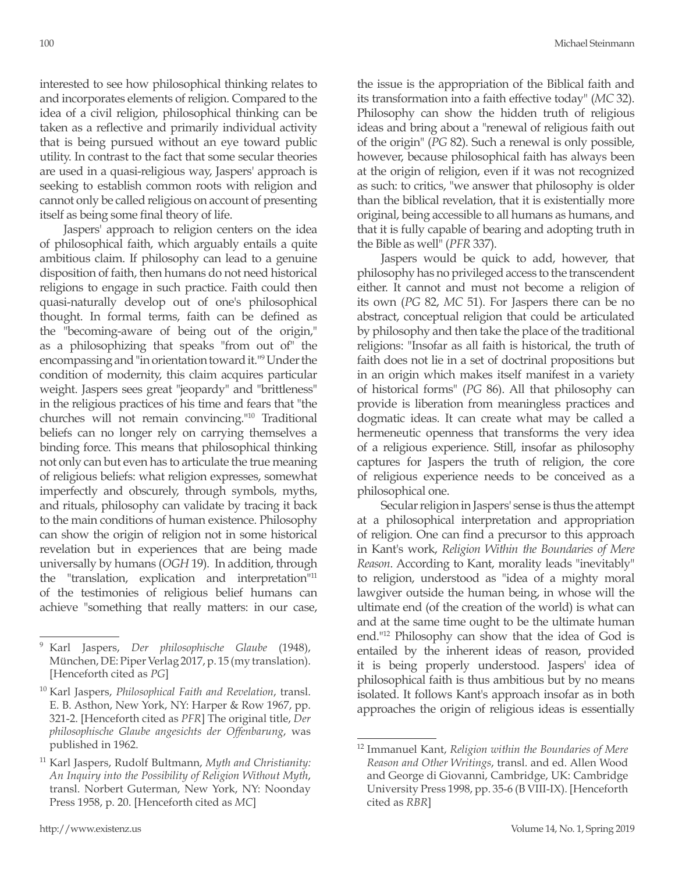interested to see how philosophical thinking relates to and incorporates elements of religion. Compared to the idea of a civil religion, philosophical thinking can be taken as a reflective and primarily individual activity that is being pursued without an eye toward public utility. In contrast to the fact that some secular theories are used in a quasi-religious way, Jaspers' approach is seeking to establish common roots with religion and cannot only be called religious on account of presenting itself as being some final theory of life.

Jaspers' approach to religion centers on the idea of philosophical faith, which arguably entails a quite ambitious claim. If philosophy can lead to a genuine disposition of faith, then humans do not need historical religions to engage in such practice. Faith could then quasi-naturally develop out of one's philosophical thought. In formal terms, faith can be defined as the "becoming-aware of being out of the origin," as a philosophizing that speaks "from out of" the encompassing and "in orientation toward it."9 Under the condition of modernity, this claim acquires particular weight. Jaspers sees great "jeopardy" and "brittleness" in the religious practices of his time and fears that "the churches will not remain convincing."10 Traditional beliefs can no longer rely on carrying themselves a binding force. This means that philosophical thinking not only can but even has to articulate the true meaning of religious beliefs: what religion expresses, somewhat imperfectly and obscurely, through symbols, myths, and rituals, philosophy can validate by tracing it back to the main conditions of human existence. Philosophy can show the origin of religion not in some historical revelation but in experiences that are being made universally by humans (*OGH* 19). In addition, through the "translation, explication and interpretation"11 of the testimonies of religious belief humans can achieve "something that really matters: in our case,

the issue is the appropriation of the Biblical faith and its transformation into a faith effective today" (*MC* 32). Philosophy can show the hidden truth of religious ideas and bring about a "renewal of religious faith out of the origin" (*PG* 82). Such a renewal is only possible, however, because philosophical faith has always been at the origin of religion, even if it was not recognized as such: to critics, "we answer that philosophy is older than the biblical revelation, that it is existentially more original, being accessible to all humans as humans, and that it is fully capable of bearing and adopting truth in the Bible as well" (*PFR* 337).

Jaspers would be quick to add, however, that philosophy has no privileged access to the transcendent either. It cannot and must not become a religion of its own (*PG* 82, *MC* 51). For Jaspers there can be no abstract, conceptual religion that could be articulated by philosophy and then take the place of the traditional religions: "Insofar as all faith is historical, the truth of faith does not lie in a set of doctrinal propositions but in an origin which makes itself manifest in a variety of historical forms" (*PG* 86). All that philosophy can provide is liberation from meaningless practices and dogmatic ideas. It can create what may be called a hermeneutic openness that transforms the very idea of a religious experience. Still, insofar as philosophy captures for Jaspers the truth of religion, the core of religious experience needs to be conceived as a philosophical one.

Secular religion in Jaspers' sense is thus the attempt at a philosophical interpretation and appropriation of religion. One can find a precursor to this approach in Kant's work, *Religion Within the Boundaries of Mere Reason*. According to Kant, morality leads "inevitably" to religion, understood as "idea of a mighty moral lawgiver outside the human being, in whose will the ultimate end (of the creation of the world) is what can and at the same time ought to be the ultimate human end."12 Philosophy can show that the idea of God is entailed by the inherent ideas of reason, provided it is being properly understood. Jaspers' idea of philosophical faith is thus ambitious but by no means isolated. It follows Kant's approach insofar as in both approaches the origin of religious ideas is essentially

<sup>9</sup> Karl Jaspers, *Der philosophische Glaube* (1948), München, DE: Piper Verlag 2017, p. 15 (my translation). [Henceforth cited as *PG*]

<sup>10</sup> Karl Jaspers, *Philosophical Faith and Revelation*, transl. E. B. Asthon, New York, NY: Harper & Row 1967, pp. 321-2. [Henceforth cited as *PFR*] The original title, *Der philosophische Glaube angesichts der Offenbarung*, was published in 1962.

<sup>11</sup> Karl Jaspers, Rudolf Bultmann, *Myth and Christianity: An Inquiry into the Possibility of Religion Without Myth*, transl. Norbert Guterman, New York, NY: Noonday Press 1958, p. 20. [Henceforth cited as *MC*]

<sup>12</sup> Immanuel Kant, *Religion within the Boundaries of Mere Reason and Other Writings*, transl. and ed. Allen Wood and George di Giovanni, Cambridge, UK: Cambridge University Press 1998, pp. 35-6 (B VIII-IX). [Henceforth cited as *RBR*]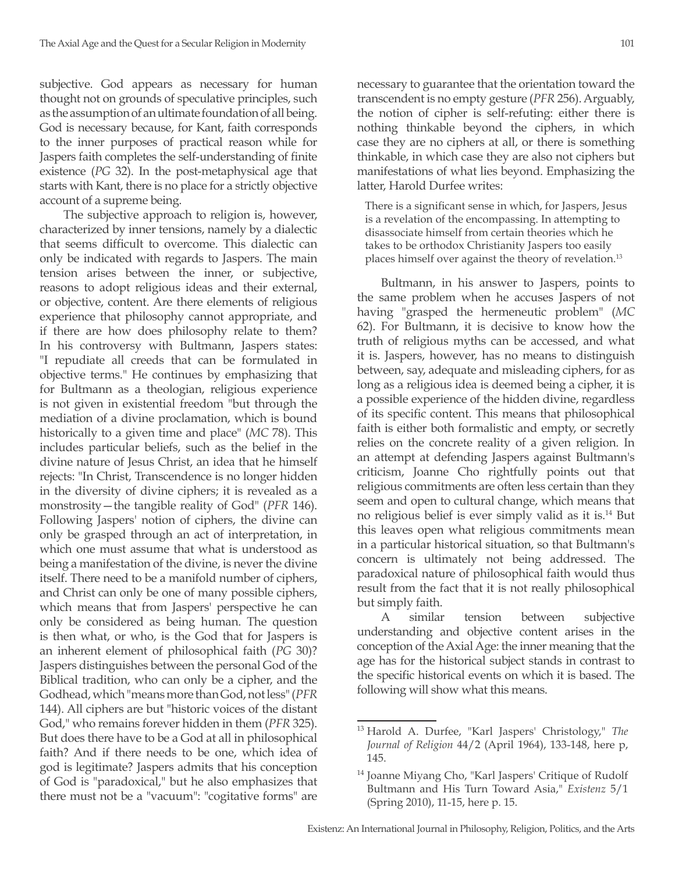subjective. God appears as necessary for human thought not on grounds of speculative principles, such as the assumption of an ultimate foundation of all being. God is necessary because, for Kant, faith corresponds to the inner purposes of practical reason while for Jaspers faith completes the self-understanding of finite existence (*PG* 32). In the post-metaphysical age that starts with Kant, there is no place for a strictly objective account of a supreme being.

The subjective approach to religion is, however, characterized by inner tensions, namely by a dialectic that seems difficult to overcome. This dialectic can only be indicated with regards to Jaspers. The main tension arises between the inner, or subjective, reasons to adopt religious ideas and their external, or objective, content. Are there elements of religious experience that philosophy cannot appropriate, and if there are how does philosophy relate to them? In his controversy with Bultmann, Jaspers states: "I repudiate all creeds that can be formulated in objective terms." He continues by emphasizing that for Bultmann as a theologian, religious experience is not given in existential freedom "but through the mediation of a divine proclamation, which is bound historically to a given time and place" (*MC* 78). This includes particular beliefs, such as the belief in the divine nature of Jesus Christ, an idea that he himself rejects: "In Christ, Transcendence is no longer hidden in the diversity of divine ciphers; it is revealed as a monstrosity—the tangible reality of God" (*PFR* 146). Following Jaspers' notion of ciphers, the divine can only be grasped through an act of interpretation, in which one must assume that what is understood as being a manifestation of the divine, is never the divine itself. There need to be a manifold number of ciphers, and Christ can only be one of many possible ciphers, which means that from Jaspers' perspective he can only be considered as being human. The question is then what, or who, is the God that for Jaspers is an inherent element of philosophical faith (*PG* 30)? Jaspers distinguishes between the personal God of the Biblical tradition, who can only be a cipher, and the Godhead, which "means more than God, not less" (*PFR* 144). All ciphers are but "historic voices of the distant God," who remains forever hidden in them (*PFR* 325). But does there have to be a God at all in philosophical faith? And if there needs to be one, which idea of god is legitimate? Jaspers admits that his conception of God is "paradoxical," but he also emphasizes that there must not be a "vacuum": "cogitative forms" are necessary to guarantee that the orientation toward the transcendent is no empty gesture (*PFR* 256). Arguably, the notion of cipher is self-refuting: either there is nothing thinkable beyond the ciphers, in which case they are no ciphers at all, or there is something thinkable, in which case they are also not ciphers but manifestations of what lies beyond. Emphasizing the latter, Harold Durfee writes:

There is a significant sense in which, for Jaspers, Jesus is a revelation of the encompassing. In attempting to disassociate himself from certain theories which he takes to be orthodox Christianity Jaspers too easily places himself over against the theory of revelation.13

Bultmann, in his answer to Jaspers, points to the same problem when he accuses Jaspers of not having "grasped the hermeneutic problem" (*MC* 62). For Bultmann, it is decisive to know how the truth of religious myths can be accessed, and what it is. Jaspers, however, has no means to distinguish between, say, adequate and misleading ciphers, for as long as a religious idea is deemed being a cipher, it is a possible experience of the hidden divine, regardless of its specific content. This means that philosophical faith is either both formalistic and empty, or secretly relies on the concrete reality of a given religion. In an attempt at defending Jaspers against Bultmann's criticism, Joanne Cho rightfully points out that religious commitments are often less certain than they seem and open to cultural change, which means that no religious belief is ever simply valid as it is.14 But this leaves open what religious commitments mean in a particular historical situation, so that Bultmann's concern is ultimately not being addressed. The paradoxical nature of philosophical faith would thus result from the fact that it is not really philosophical but simply faith.

A similar tension between subjective understanding and objective content arises in the conception of the Axial Age: the inner meaning that the age has for the historical subject stands in contrast to the specific historical events on which it is based. The following will show what this means.

<sup>13</sup> Harold A. Durfee, "Karl Jaspers' Christology," *The Journal of Religion* 44/2 (April 1964), 133-148, here p, 145.

<sup>&</sup>lt;sup>14</sup> Joanne Miyang Cho, "Karl Jaspers' Critique of Rudolf Bultmann and His Turn Toward Asia," *Existenz* 5/1 (Spring 2010), 11-15, here p. 15.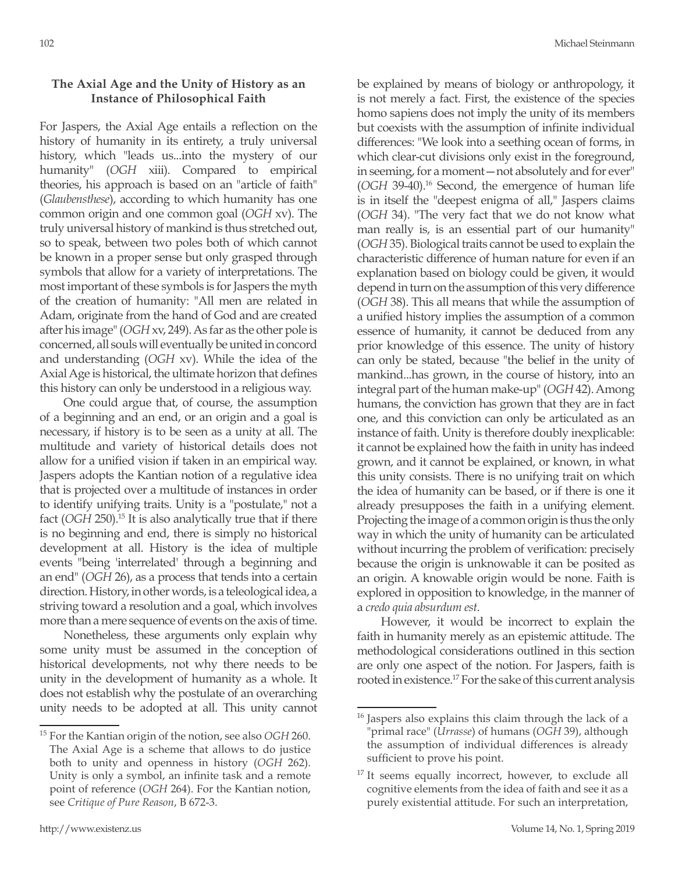#### **The Axial Age and the Unity of History as an Instance of Philosophical Faith**

For Jaspers, the Axial Age entails a reflection on the history of humanity in its entirety, a truly universal history, which "leads us...into the mystery of our humanity" (*OGH* xiii). Compared to empirical theories, his approach is based on an "article of faith" (*Glaubensthese*), according to which humanity has one common origin and one common goal (*OGH* xv). The truly universal history of mankind is thus stretched out, so to speak, between two poles both of which cannot be known in a proper sense but only grasped through symbols that allow for a variety of interpretations. The most important of these symbols is for Jaspers the myth of the creation of humanity: "All men are related in Adam, originate from the hand of God and are created after his image" (*OGH* xv, 249). As far as the other pole is concerned, all souls will eventually be united in concord and understanding (*OGH* xv). While the idea of the Axial Age is historical, the ultimate horizon that defines this history can only be understood in a religious way.

One could argue that, of course, the assumption of a beginning and an end, or an origin and a goal is necessary, if history is to be seen as a unity at all. The multitude and variety of historical details does not allow for a unified vision if taken in an empirical way. Jaspers adopts the Kantian notion of a regulative idea that is projected over a multitude of instances in order to identify unifying traits. Unity is a "postulate," not a fact (*OGH* 250).15 It is also analytically true that if there is no beginning and end, there is simply no historical development at all. History is the idea of multiple events "being 'interrelated' through a beginning and an end" (*OGH* 26), as a process that tends into a certain direction. History, in other words, is a teleological idea, a striving toward a resolution and a goal, which involves more than a mere sequence of events on the axis of time.

Nonetheless, these arguments only explain why some unity must be assumed in the conception of historical developments, not why there needs to be unity in the development of humanity as a whole. It does not establish why the postulate of an overarching unity needs to be adopted at all. This unity cannot be explained by means of biology or anthropology, it is not merely a fact. First, the existence of the species homo sapiens does not imply the unity of its members but coexists with the assumption of infinite individual differences: "We look into a seething ocean of forms, in which clear-cut divisions only exist in the foreground, in seeming, for a moment—not absolutely and for ever" (*OGH* 39-40).16 Second, the emergence of human life is in itself the "deepest enigma of all," Jaspers claims (*OGH* 34). "The very fact that we do not know what man really is, is an essential part of our humanity" (*OGH* 35). Biological traits cannot be used to explain the characteristic difference of human nature for even if an explanation based on biology could be given, it would depend in turn on the assumption of this very difference (*OGH* 38). This all means that while the assumption of a unified history implies the assumption of a common essence of humanity, it cannot be deduced from any prior knowledge of this essence. The unity of history can only be stated, because "the belief in the unity of mankind...has grown, in the course of history, into an integral part of the human make-up" (*OGH* 42). Among humans, the conviction has grown that they are in fact one, and this conviction can only be articulated as an instance of faith. Unity is therefore doubly inexplicable: it cannot be explained how the faith in unity has indeed grown, and it cannot be explained, or known, in what this unity consists. There is no unifying trait on which the idea of humanity can be based, or if there is one it already presupposes the faith in a unifying element. Projecting the image of a common origin is thus the only way in which the unity of humanity can be articulated without incurring the problem of verification: precisely because the origin is unknowable it can be posited as an origin. A knowable origin would be none. Faith is explored in opposition to knowledge, in the manner of a *credo quia absurdum est*.

However, it would be incorrect to explain the faith in humanity merely as an epistemic attitude. The methodological considerations outlined in this section are only one aspect of the notion. For Jaspers, faith is rooted in existence.<sup>17</sup> For the sake of this current analysis

<sup>15</sup> For the Kantian origin of the notion, see also *OGH* 260. The Axial Age is a scheme that allows to do justice both to unity and openness in history (*OGH* 262). Unity is only a symbol, an infinite task and a remote point of reference (*OGH* 264). For the Kantian notion, see *Critique of Pure Reason*, B 672-3.

<sup>&</sup>lt;sup>16</sup> Jaspers also explains this claim through the lack of a "primal race" (*Urrasse*) of humans (*OGH* 39), although the assumption of individual differences is already sufficient to prove his point.

<sup>&</sup>lt;sup>17</sup> It seems equally incorrect, however, to exclude all cognitive elements from the idea of faith and see it as a purely existential attitude. For such an interpretation,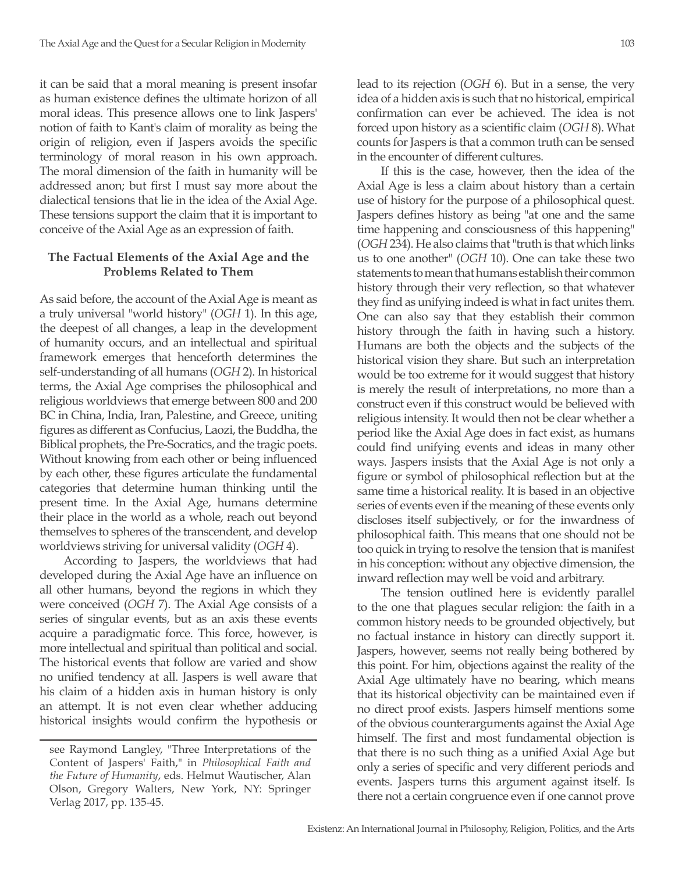it can be said that a moral meaning is present insofar as human existence defines the ultimate horizon of all moral ideas. This presence allows one to link Jaspers' notion of faith to Kant's claim of morality as being the origin of religion, even if Jaspers avoids the specific terminology of moral reason in his own approach. The moral dimension of the faith in humanity will be addressed anon; but first I must say more about the dialectical tensions that lie in the idea of the Axial Age. These tensions support the claim that it is important to conceive of the Axial Age as an expression of faith.

#### **The Factual Elements of the Axial Age and the Problems Related to Them**

As said before, the account of the Axial Age is meant as a truly universal "world history" (*OGH* 1). In this age, the deepest of all changes, a leap in the development of humanity occurs, and an intellectual and spiritual framework emerges that henceforth determines the self-understanding of all humans (*OGH* 2). In historical terms, the Axial Age comprises the philosophical and religious worldviews that emerge between 800 and 200 BC in China, India, Iran, Palestine, and Greece, uniting figures as different as Confucius, Laozi, the Buddha, the Biblical prophets, the Pre-Socratics, and the tragic poets. Without knowing from each other or being influenced by each other, these figures articulate the fundamental categories that determine human thinking until the present time. In the Axial Age, humans determine their place in the world as a whole, reach out beyond themselves to spheres of the transcendent, and develop worldviews striving for universal validity (*OGH* 4).

According to Jaspers, the worldviews that had developed during the Axial Age have an influence on all other humans, beyond the regions in which they were conceived (*OGH* 7). The Axial Age consists of a series of singular events, but as an axis these events acquire a paradigmatic force. This force, however, is more intellectual and spiritual than political and social. The historical events that follow are varied and show no unified tendency at all. Jaspers is well aware that his claim of a hidden axis in human history is only an attempt. It is not even clear whether adducing historical insights would confirm the hypothesis or

lead to its rejection (*OGH* 6). But in a sense, the very idea of a hidden axis is such that no historical, empirical confirmation can ever be achieved. The idea is not forced upon history as a scientific claim (*OGH* 8). What counts for Jaspers is that a common truth can be sensed

in the encounter of different cultures.

If this is the case, however, then the idea of the Axial Age is less a claim about history than a certain use of history for the purpose of a philosophical quest. Jaspers defines history as being "at one and the same time happening and consciousness of this happening" (*OGH* 234). He also claims that "truth is that which links us to one another" (*OGH* 10). One can take these two statements to mean that humans establish their common history through their very reflection, so that whatever they find as unifying indeed is what in fact unites them. One can also say that they establish their common history through the faith in having such a history. Humans are both the objects and the subjects of the historical vision they share. But such an interpretation would be too extreme for it would suggest that history is merely the result of interpretations, no more than a construct even if this construct would be believed with religious intensity. It would then not be clear whether a period like the Axial Age does in fact exist, as humans could find unifying events and ideas in many other ways. Jaspers insists that the Axial Age is not only a figure or symbol of philosophical reflection but at the same time a historical reality. It is based in an objective series of events even if the meaning of these events only discloses itself subjectively, or for the inwardness of philosophical faith. This means that one should not be too quick in trying to resolve the tension that is manifest in his conception: without any objective dimension, the inward reflection may well be void and arbitrary.

The tension outlined here is evidently parallel to the one that plagues secular religion: the faith in a common history needs to be grounded objectively, but no factual instance in history can directly support it. Jaspers, however, seems not really being bothered by this point. For him, objections against the reality of the Axial Age ultimately have no bearing, which means that its historical objectivity can be maintained even if no direct proof exists. Jaspers himself mentions some of the obvious counterarguments against the Axial Age himself. The first and most fundamental objection is that there is no such thing as a unified Axial Age but only a series of specific and very different periods and events. Jaspers turns this argument against itself. Is there not a certain congruence even if one cannot prove

see Raymond Langley, "Three Interpretations of the Content of Jaspers' Faith," in *Philosophical Faith and the Future of Humanity*, eds. Helmut Wautischer, Alan Olson, Gregory Walters, New York, NY: Springer Verlag 2017, pp. 135-45.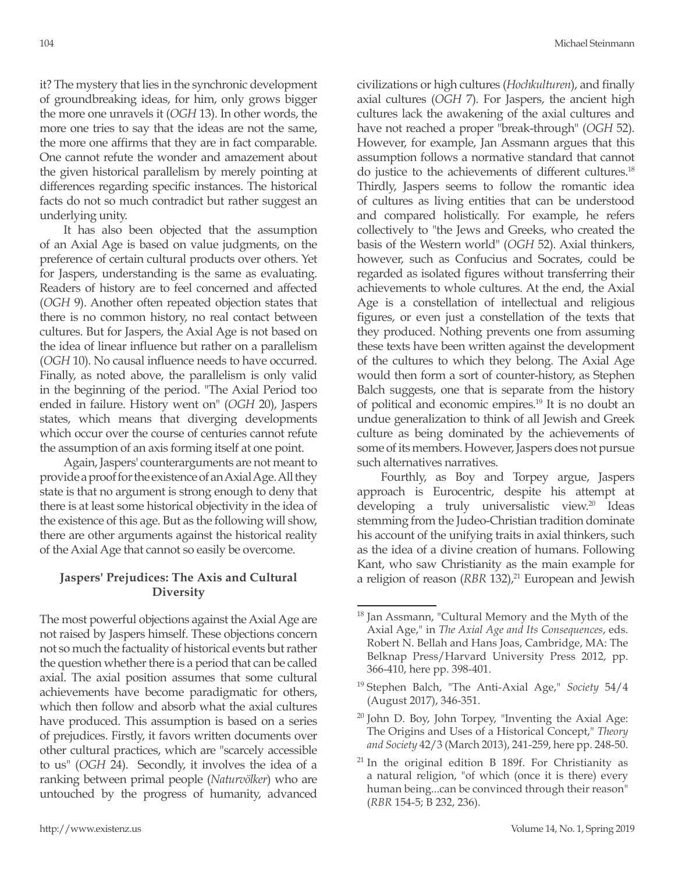it? The mystery that lies in the synchronic development of groundbreaking ideas, for him, only grows bigger the more one unravels it (*OGH* 13). In other words, the more one tries to say that the ideas are not the same, the more one affirms that they are in fact comparable. One cannot refute the wonder and amazement about the given historical parallelism by merely pointing at differences regarding specific instances. The historical facts do not so much contradict but rather suggest an underlying unity.

It has also been objected that the assumption of an Axial Age is based on value judgments, on the preference of certain cultural products over others. Yet for Jaspers, understanding is the same as evaluating. Readers of history are to feel concerned and affected (*OGH* 9). Another often repeated objection states that there is no common history, no real contact between cultures. But for Jaspers, the Axial Age is not based on the idea of linear influence but rather on a parallelism (*OGH* 10). No causal influence needs to have occurred. Finally, as noted above, the parallelism is only valid in the beginning of the period. "The Axial Period too ended in failure. History went on" (*OGH* 20), Jaspers states, which means that diverging developments which occur over the course of centuries cannot refute the assumption of an axis forming itself at one point.

Again, Jaspers' counterarguments are not meant to provide a proof for the existence of an Axial Age. All they state is that no argument is strong enough to deny that there is at least some historical objectivity in the idea of the existence of this age. But as the following will show, there are other arguments against the historical reality of the Axial Age that cannot so easily be overcome.

#### **Jaspers' Prejudices: The Axis and Cultural Diversity**

The most powerful objections against the Axial Age are not raised by Jaspers himself. These objections concern not so much the factuality of historical events but rather the question whether there is a period that can be called axial. The axial position assumes that some cultural achievements have become paradigmatic for others, which then follow and absorb what the axial cultures have produced. This assumption is based on a series of prejudices. Firstly, it favors written documents over other cultural practices, which are "scarcely accessible to us" (*OGH* 24). Secondly, it involves the idea of a ranking between primal people (*Naturvölker*) who are untouched by the progress of humanity, advanced civilizations or high cultures (*Hochkulturen*), and finally axial cultures (*OGH* 7). For Jaspers, the ancient high cultures lack the awakening of the axial cultures and have not reached a proper "break-through" (*OGH* 52). However, for example, Jan Assmann argues that this assumption follows a normative standard that cannot do justice to the achievements of different cultures.18 Thirdly, Jaspers seems to follow the romantic idea of cultures as living entities that can be understood and compared holistically. For example, he refers collectively to "the Jews and Greeks, who created the basis of the Western world" (*OGH* 52). Axial thinkers, however, such as Confucius and Socrates, could be regarded as isolated figures without transferring their achievements to whole cultures. At the end, the Axial Age is a constellation of intellectual and religious figures, or even just a constellation of the texts that they produced. Nothing prevents one from assuming these texts have been written against the development of the cultures to which they belong. The Axial Age would then form a sort of counter-history, as Stephen Balch suggests, one that is separate from the history of political and economic empires.19 It is no doubt an undue generalization to think of all Jewish and Greek culture as being dominated by the achievements of some of its members. However, Jaspers does not pursue such alternatives narratives.

Fourthly, as Boy and Torpey argue, Jaspers approach is Eurocentric, despite his attempt at developing a truly universalistic view.20 Ideas stemming from the Judeo-Christian tradition dominate his account of the unifying traits in axial thinkers, such as the idea of a divine creation of humans. Following Kant, who saw Christianity as the main example for a religion of reason (*RBR* 132),<sup>21</sup> European and Jewish

<sup>&</sup>lt;sup>18</sup> Jan Assmann, "Cultural Memory and the Myth of the Axial Age," in *The Axial Age and Its Consequences*, eds. Robert N. Bellah and Hans Joas, Cambridge, MA: The Belknap Press/Harvard University Press 2012, pp. 366-410, here pp. 398-401.

<sup>19</sup> Stephen Balch, "The Anti-Axial Age," *Society* 54/4 (August 2017), 346-351.

 $20$  John D. Boy, John Torpey, "Inventing the Axial Age: The Origins and Uses of a Historical Concept," *Theory and Society* 42/3 (March 2013), 241-259, here pp. 248-50.

 $21$  In the original edition B 189f. For Christianity as a natural religion, "of which (once it is there) every human being...can be convinced through their reason" (*RBR* 154-5; B 232, 236).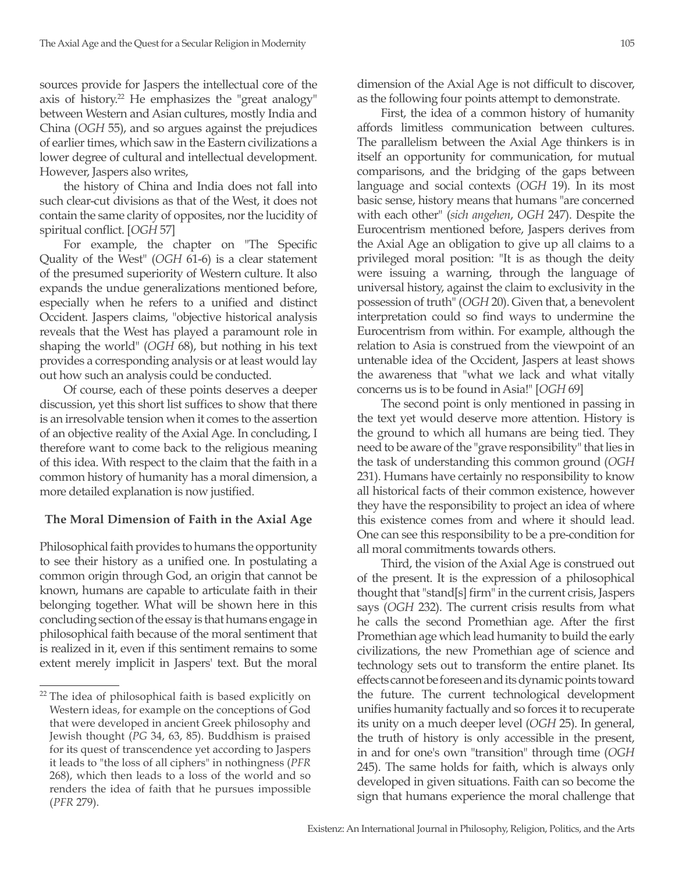sources provide for Jaspers the intellectual core of the axis of history.<sup>22</sup> He emphasizes the "great analogy" between Western and Asian cultures, mostly India and China (*OGH* 55), and so argues against the prejudices of earlier times, which saw in the Eastern civilizations a lower degree of cultural and intellectual development. However, Jaspers also writes,

the history of China and India does not fall into such clear-cut divisions as that of the West, it does not contain the same clarity of opposites, nor the lucidity of spiritual conflict. [*OGH* 57]

For example, the chapter on "The Specific Quality of the West" (*OGH* 61-6) is a clear statement of the presumed superiority of Western culture. It also expands the undue generalizations mentioned before, especially when he refers to a unified and distinct Occident. Jaspers claims, "objective historical analysis reveals that the West has played a paramount role in shaping the world" (*OGH* 68), but nothing in his text provides a corresponding analysis or at least would lay out how such an analysis could be conducted.

Of course, each of these points deserves a deeper discussion, yet this short list suffices to show that there is an irresolvable tension when it comes to the assertion of an objective reality of the Axial Age. In concluding, I therefore want to come back to the religious meaning of this idea. With respect to the claim that the faith in a common history of humanity has a moral dimension, a more detailed explanation is now justified.

## **The Moral Dimension of Faith in the Axial Age**

Philosophical faith provides to humans the opportunity to see their history as a unified one. In postulating a common origin through God, an origin that cannot be known, humans are capable to articulate faith in their belonging together. What will be shown here in this concluding section of the essay is that humans engage in philosophical faith because of the moral sentiment that is realized in it, even if this sentiment remains to some extent merely implicit in Jaspers' text. But the moral dimension of the Axial Age is not difficult to discover, as the following four points attempt to demonstrate.

First, the idea of a common history of humanity affords limitless communication between cultures. The parallelism between the Axial Age thinkers is in itself an opportunity for communication, for mutual comparisons, and the bridging of the gaps between language and social contexts (*OGH* 19). In its most basic sense, history means that humans "are concerned with each other" (*sich angehen*, *OGH* 247). Despite the Eurocentrism mentioned before, Jaspers derives from the Axial Age an obligation to give up all claims to a privileged moral position: "It is as though the deity were issuing a warning, through the language of universal history, against the claim to exclusivity in the possession of truth" (*OGH* 20). Given that, a benevolent interpretation could so find ways to undermine the Eurocentrism from within. For example, although the relation to Asia is construed from the viewpoint of an untenable idea of the Occident, Jaspers at least shows the awareness that "what we lack and what vitally concerns us is to be found in Asia!" [*OGH* 69]

The second point is only mentioned in passing in the text yet would deserve more attention. History is the ground to which all humans are being tied. They need to be aware of the "grave responsibility" that lies in the task of understanding this common ground (*OGH* 231). Humans have certainly no responsibility to know all historical facts of their common existence, however they have the responsibility to project an idea of where this existence comes from and where it should lead. One can see this responsibility to be a pre-condition for all moral commitments towards others.

Third, the vision of the Axial Age is construed out of the present. It is the expression of a philosophical thought that "stand[s] firm" in the current crisis, Jaspers says (*OGH* 232). The current crisis results from what he calls the second Promethian age. After the first Promethian age which lead humanity to build the early civilizations, the new Promethian age of science and technology sets out to transform the entire planet. Its effects cannot be foreseen and its dynamic points toward the future. The current technological development unifies humanity factually and so forces it to recuperate its unity on a much deeper level (*OGH* 25). In general, the truth of history is only accessible in the present, in and for one's own "transition" through time (*OGH* 245). The same holds for faith, which is always only developed in given situations. Faith can so become the sign that humans experience the moral challenge that

 $22$  The idea of philosophical faith is based explicitly on Western ideas, for example on the conceptions of God that were developed in ancient Greek philosophy and Jewish thought (*PG* 34, 63, 85). Buddhism is praised for its quest of transcendence yet according to Jaspers it leads to "the loss of all ciphers" in nothingness (*PFR* 268), which then leads to a loss of the world and so renders the idea of faith that he pursues impossible (*PFR* 279).